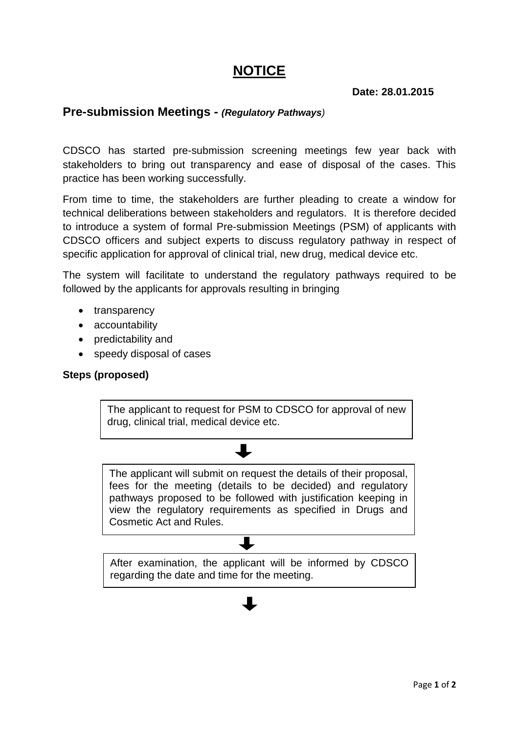# **NOTICE**

## **Date: 28.01.2015**

# **Pre-submission Meetings -** *(Regulatory Pathways)*

CDSCO has started pre-submission screening meetings few year back with stakeholders to bring out transparency and ease of disposal of the cases. This practice has been working successfully.

From time to time, the stakeholders are further pleading to create a window for technical deliberations between stakeholders and regulators. It is therefore decided to introduce a system of formal Pre-submission Meetings (PSM) of applicants with CDSCO officers and subject experts to discuss regulatory pathway in respect of specific application for approval of clinical trial, new drug, medical device etc.

The system will facilitate to understand the regulatory pathways required to be followed by the applicants for approvals resulting in bringing

- transparency
- accountability
- predictability and
- speedy disposal of cases

### **Steps (proposed)**

The applicant to request for PSM to CDSCO for approval of new drug, clinical trial, medical device etc.

The applicant will submit on request the details of their proposal, fees for the meeting (details to be decided) and regulatory pathways proposed to be followed with justification keeping in view the regulatory requirements as specified in Drugs and Cosmetic Act and Rules.

After examination, the applicant will be informed by CDSCO regarding the date and time for the meeting.